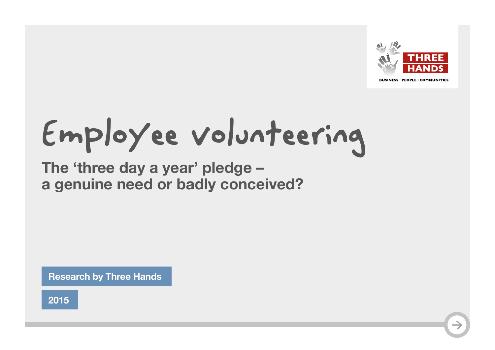

**BUSINESS: PEOPLE: COMMUNITIES** 

# Employee volunteering

**The 'three day a year' pledge – a genuine need or badly conceived?**

**Research by Three Hands**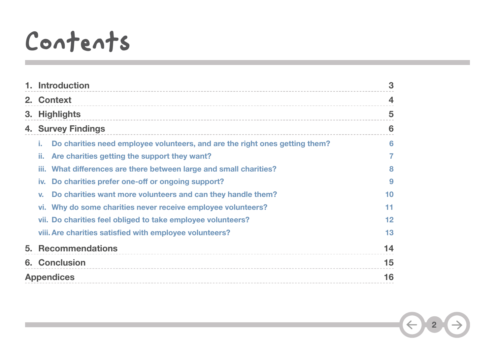## Contents

|                   | 1. Introduction                                                                   | 3                  |
|-------------------|-----------------------------------------------------------------------------------|--------------------|
|                   | 2. Context                                                                        | $\overline{\bf 4}$ |
| 3.                | <b>Highlights</b>                                                                 | 5                  |
|                   | <b>4. Survey Findings</b>                                                         | 6                  |
|                   | Do charities need employee volunteers, and are the right ones getting them?<br>L. | 6                  |
|                   | Are charities getting the support they want?<br>п.                                |                    |
|                   | What differences are there between large and small charities?<br>m.               | 8                  |
|                   | Do charities prefer one-off or ongoing support?<br>IV.                            | 9                  |
|                   | Do charities want more volunteers and can they handle them?<br>$V_{-}$            | 10                 |
|                   | vi. Why do some charities never receive employee volunteers?                      | 11                 |
|                   | vii. Do charities feel obliged to take employee volunteers?                       | 12                 |
|                   | viii. Are charities satisfied with employee volunteers?                           | 13                 |
|                   | 5. Recommendations                                                                | 14                 |
|                   | <b>6. Conclusion</b>                                                              | 15                 |
| <b>Appendices</b> |                                                                                   | 16                 |

**2**

 $\rightarrow$ 

 $\bigodot$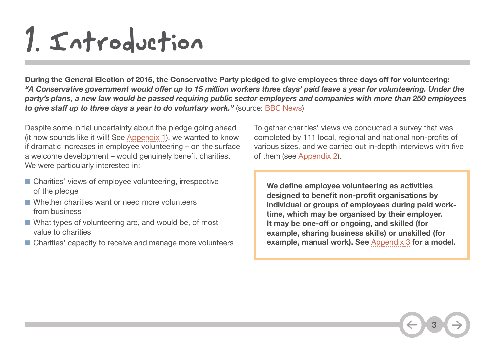## <span id="page-2-0"></span>1. Introduction

During the General Election of 2015, the Conservative Party pledged to give employees three days off for volunteering: *"A Conservative government would offer up to 15 million workers three days' paid leave a year for volunteering. Under the party's plans, a new law would be passed requiring public sector employers and companies with more than 250 employees to give staff up to three days a year to do voluntary work."* (source: [BBC News\)](http://www.bbc.co.uk/news/election-2015-32243680)

Despite some initial uncertainty about the pledge going ahead (it now sounds like it will! S[ee Appendix 1](#page-15-0)), we wanted to know if dramatic increases in employee volunteering – on the surface a welcome development – would genuinely benefit charities. We were particularly interested in:

- Charities' views of employee volunteering, irrespective of the pledge
- Whether charities want or need more volunteers from business
- What types of volunteering are, and would be, of most value to charities
- Charities' capacity to receive and manage more volunteers

To gather charities' views we conducted a survey that was completed by 111 local, regional and national non-profits of various sizes, and we carried out in-depth interviews with five of them (see [Appendix 2](#page-15-0)).

**We define employee volunteering as activities designed to benefit non-profit organisations by individual or groups of employees during paid worktime, which may be organised by their employer. It may be one-off or ongoing, and skilled (for example, sharing business skills) or unskilled (for example, manual work). See** [Appendix 3](#page-16-0) **for a model.**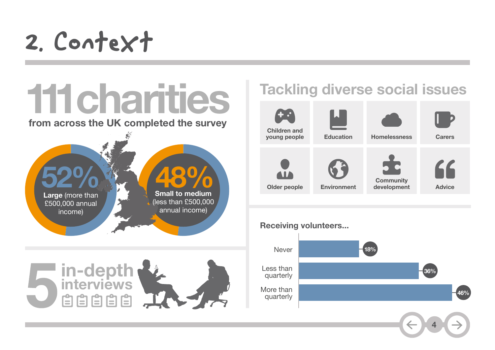## <span id="page-3-0"></span>2. Context



## **Tackling diverse social issues**



#### **Receiving volunteers...**

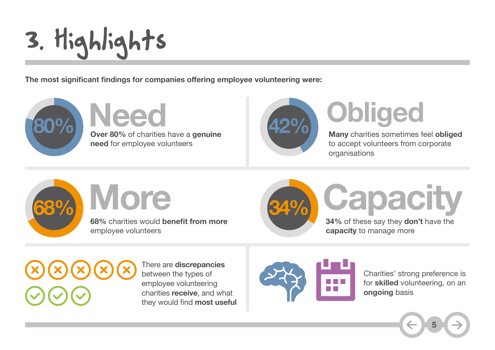# <span id="page-4-0"></span>3. Highlights

**The most significant findings for companies offering employee volunteering were:**



**Over 80%** of charities have a **genuine 80% 42%need** for employee volunteers Need **Apple Obliged** 



**Many** charities sometimes feel **obliged** to accept volunteers from corporate organisations

**68%** More

**68%** charities would **benefit from more** employee volunteers



# **More Capacity**

**34%** of these say they **don't** have the **capacity** to manage more

There are **discrepancies** between the types of employee volunteering charities **receive**, and what they would find **most useful**



Charities' strong preference is for **skilled** volunteering, on an **ongoing** basis

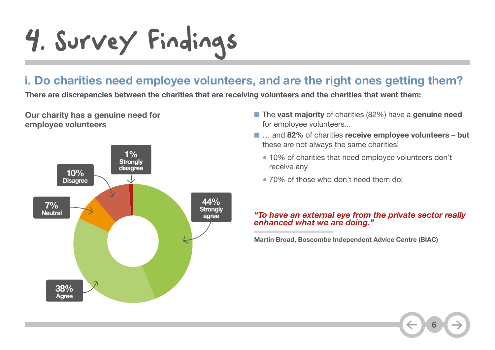# <span id="page-5-0"></span>4. Survey Findings

## **i. Do charities need employee volunteers, and are the right ones getting them?**

**There are discrepancies between the charities that are receiving volunteers and the charities that want them:**

**Our charity has a genuine need for employee volunteers**



- The **vast majority** of charities (82%) have a **genuine need** for employee volunteers...
- ... and 82% of charities **receive employee volunteers** but these are not always the same charities!
	- 10% of charities that need employee volunteers don't receive any
	- 70% of those who don't need them do!

#### *"To have an external eye from the private sector really enhanced what we are doing."*

**Martin Broad, Boscombe Independent Advice Centre (BIAC)**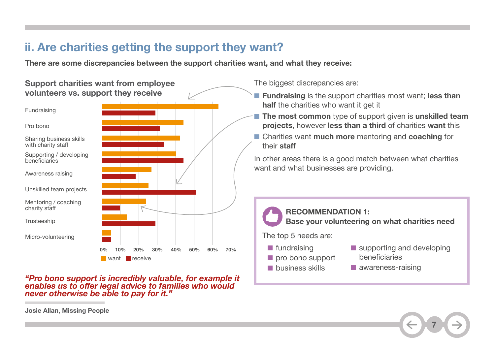## <span id="page-6-0"></span>**ii. Are charities getting the support they want?**

**There are some discrepancies between the support charities want, and what they receive:**

#### **Support charities want from employee volunteers vs. support they receive**



*"Pro bono support is incredibly valuable, for example it enables us to offer legal advice to families who would never otherwise be able to pay for it."*

The biggest discrepancies are:

- **Fundraising** is the support charities most want; **less than half** the charities who want it get it
- **The most common** type of support given is **unskilled team projects**, however **less than a third** of charities **want** this
- Charities want **much more** mentoring and **coaching** for their **staff**

In other areas there is a good match between what charities want and what businesses are providing.



**7**

**Josie Allan, Missing People**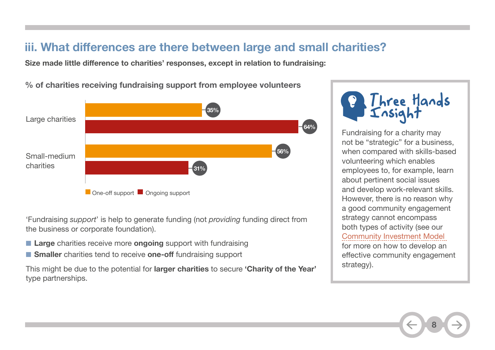## <span id="page-7-0"></span>**iii. What differences are there between large and small charities?**

**Size made little difference to charities' responses, except in relation to fundraising:**

**% of charities receiving fundraising support from employee volunteers**



'Fundraising *support*' is help to generate funding (not *providing* funding direct from the business or corporate foundation).

- **Large** charities receive more **ongoing** support with fundraising
- **Smaller** charities tend to receive **one-off** fundraising support

This might be due to the potential for **larger charities** to secure **'Charity of the Year'** type partnerships.

Three Hands<br>Insight

Fundraising for a charity may not be "strategic" for a business, when compared with skills-based volunteering which enables employees to, for example, learn about pertinent social issues and develop work-relevant skills. However, there is no reason why a good community engagement strategy cannot encompass both types of activity (see our [Community Investment Model](http://www.threehands.co.uk/resources/documents/Three-Hands---a-new-model-for-community-engagement-2015.pdf) for more on how to develop an effective community engagement strategy).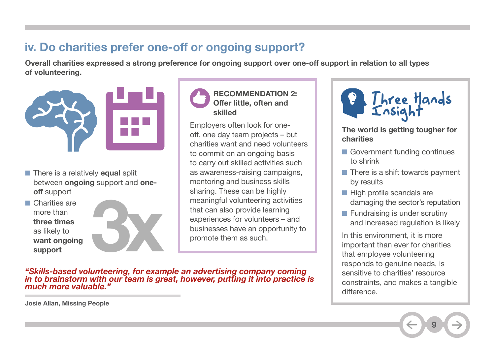## <span id="page-8-0"></span>**iv. Do charities prefer one-off or ongoing support?**

Overall charities expressed a strong preference for ongoing support over one-off support in relation to all types **of volunteering.**



- There is a relatively **equal** split between **ongoing** support and **oneoff** support
- Charities are more than **three times** as likely to **want ongoing support**





Employers often look for oneoff, one day team projects – but charities want and need volunteers to commit on an ongoing basis to carry out skilled activities such as awareness-raising campaigns, mentoring and business skills sharing. These can be highly meaningful volunteering activities that can also provide learning experiences for volunteers – and businesses have an opportunity to promote them as such.

*"Skills-based volunteering, for example an advertising company coming in to brainstorm with our team is great, however, putting it into practice is much more valuable."*



**The world is getting tougher for charities**

- Government funding continues to shrink
- There is a shift towards payment by results
- High profile scandals are damaging the sector's reputation
- Fundraising is under scrutiny and increased regulation is likely

In this environment, it is more important than ever for charities that employee volunteering responds to genuine needs, is sensitive to charities' resource constraints, and makes a tangible difference.

**9**

**Josie Allan, Missing People**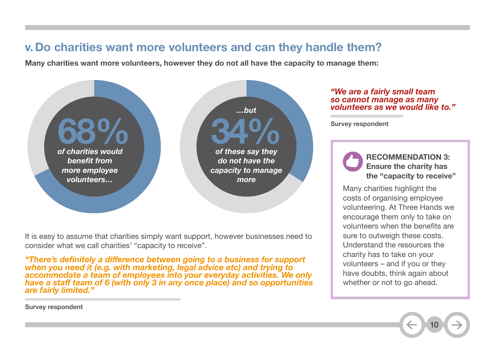### <span id="page-9-0"></span>**v.Do charities want more volunteers and can they handle them?**

**Many charities want more volunteers, however they do not all have the capacity to manage them:**



It is easy to assume that charities simply want support, however businesses need to consider what we call charities' "capacity to receive".

*"There's definitely a difference between going to a business for support when you need it (e.g. with marketing, legal advice etc) and trying to accommodate a team of employees into your everyday activities. We only have a staff team of 6 (with only 3 in any once place) and so opportunities are fairly limited."*

#### *"We are a fairly small team so cannot manage as many volunteers as we would like to."*

**Survey respondent**

**RECOMMENDATION 3: Ensure the charity has the "capacity to receive"**

Many charities highlight the costs of organising employee volunteering. At Three Hands we encourage them only to take on volunteers when the benefits are sure to outweigh these costs. Understand the resources the charity has to take on your volunteers – and if you or they have doubts, think again about whether or not to go ahead.

**10**

**Survey respondent**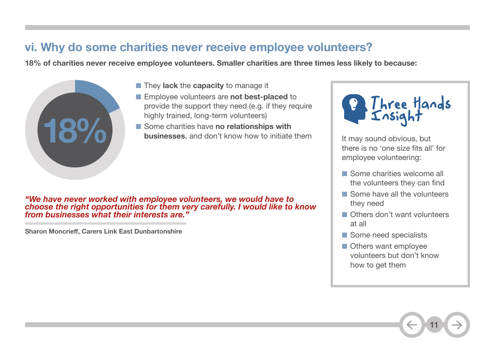### <span id="page-10-0"></span>**vi. Why do some charities never receive employee volunteers?**

**18% of charities never receive employee volunteers. Smaller charities are three times less likely to because:**



- They **lack** the **capacity** to manage it
- Employee volunteers are **not best-placed** to provide the support they need (e.g. if they require highly trained, long-term volunteers)
- Some charities have **no relationships with businesses**, and don't know how to initiate them

*"We have never worked with employee volunteers, we would have to choose the right opportunities for them very carefully. I would like to know from businesses what their interests are."*

**Sharon Moncrieff, Carers Link East Dunbartonshire**



It may sound obvious, but there is no 'one size fits all' for employee volunteering:

- Some charities welcome all the volunteers they can find
- Some have all the volunteers they need
- Others don't want volunteers at all
- Some need specialists
- Others want employee volunteers but don't know how to get them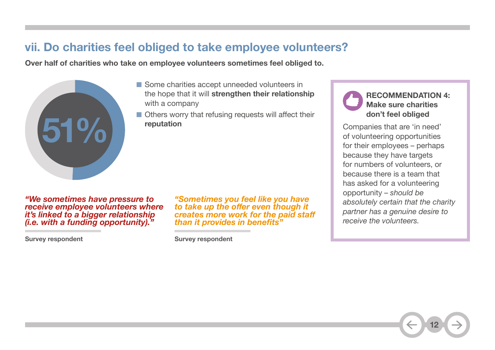### <span id="page-11-0"></span>**vii. Do charities feel obliged to take employee volunteers?**

**Over half of charities who take on employee volunteers sometimes feel obliged to.**



- Some charities accept unneeded volunteers in the hope that it will **strengthen their relationship** with a company
- Others worry that refusing requests will affect their **reputation**

*"We sometimes have pressure to receive employee volunteers where it's linked to a bigger relationship (i.e. with a funding opportunity)."* 

**Survey respondent**

*"Sometimes you feel like you have to take up the offer even though it creates more work for the paid staff than it provides in benefits"*

**Survey respondent**

#### **RECOMMENDATION 4: Make sure charities don't feel obliged**

Companies that are 'in need' of volunteering opportunities for their employees – perhaps because they have targets for numbers of volunteers, or because there is a team that has asked for a volunteering opportunity – *should be absolutely certain that the charity partner has a genuine desire to receive the volunteers.*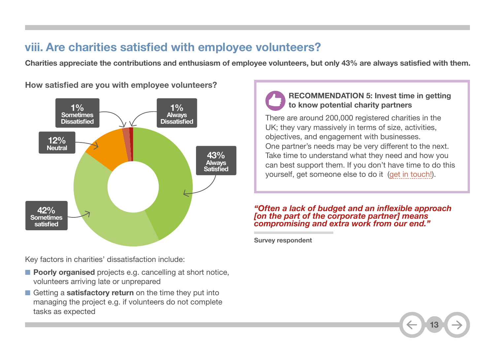## <span id="page-12-0"></span>**viii. Are charities satisfied with employee volunteers?**

Charities appreciate the contributions and enthusiasm of employee volunteers, but only 43% are always satisfied with them.

**43% Always Satisfied 12% Neutral 1% Sometimes Dissatisfied 42% Sometimes satisfied 1% Always Dissatisfied**

**How satisfied are you with employee volunteers?**

Key factors in charities' dissatisfaction include:

- **Poorly organised** projects e.g. cancelling at short notice, volunteers arriving late or unprepared
- Getting a **satisfactory return** on the time they put into managing the project e.g. if volunteers do not complete tasks as expected

#### **RECOMMENDATION 5: Invest time in getting to know potential charity partners**

There are around 200,000 registered charities in the UK; they vary massively in terms of size, activities, objectives, and engagement with businesses. One partner's needs may be very different to the next. Take time to understand what they need and how you can best support them. If you don't have time to do this yourself, get someone else to do it [\(get in touch!](mailto:info%40threehands.co.uk?subject=)).

#### *"Often a lack of budget and an inflexible approach [on the part of the corporate partner] means compromising and extra work from our end."*

**Survey respondent**

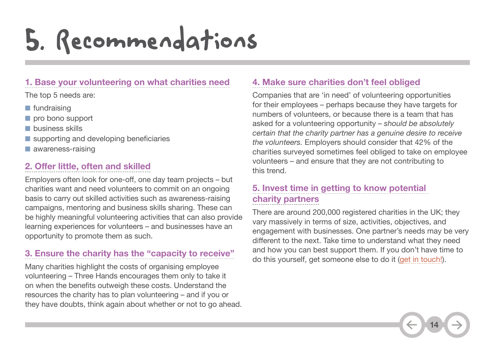## <span id="page-13-0"></span>5. Recommendations

#### **1. Base your volunteering on what charities need**

The top 5 needs are:

- fundraising
- pro bono support
- business skills
- supporting and developing beneficiaries
- awareness-raising

#### **2. Offer little, often and skilled**

Employers often look for one-off, one day team projects – but charities want and need volunteers to commit on an ongoing basis to carry out skilled activities such as awareness-raising campaigns, mentoring and business skills sharing. These can be highly meaningful volunteering activities that can also provide learning experiences for volunteers – and businesses have an opportunity to promote them as such.

#### **3. Ensure the charity has the "capacity to receive"**

Many charities highlight the costs of organising employee volunteering – Three Hands encourages them only to take it on when the benefits outweigh these costs. Understand the resources the charity has to plan volunteering – and if you or they have doubts, think again about whether or not to go ahead.

#### **4. Make sure charities don't feel obliged**

Companies that are 'in need' of volunteering opportunities for their employees – perhaps because they have targets for numbers of volunteers, or because there is a team that has asked for a volunteering opportunity – *should be absolutely certain that the charity partner has a genuine desire to receive the volunteers.* Employers should consider that 42% of the charities surveyed sometimes feel obliged to take on employee volunteers – and ensure that they are not contributing to this trend.

#### **5. Invest time in getting to know potential charity partners**

There are around 200,000 registered charities in the UK; they vary massively in terms of size, activities, objectives, and engagement with businesses. One partner's needs may be very different to the next. Take time to understand what they need and how you can best support them. If you don't have time to do this yourself, get someone else to do it ([get in touch!](mailto:info%40threehands.co.uk?subject=)).

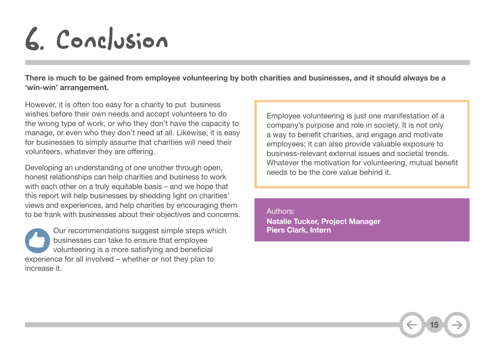## <span id="page-14-0"></span>6. Conclusion

**There is much to be gained from employee volunteering by both charities and businesses, and it should always be a 'win-win' arrangement.** 

However, it is often too easy for a charity to put business wishes before their own needs and accept volunteers to do the wrong type of work, or who they don't have the capacity to manage, or even who they don't need at all. Likewise, it is easy for businesses to simply assume that charities will need their volunteers, whatever they are offering.

Developing an understanding of one another through open, honest relationships can help charities and business to work with each other on a truly equitable basis – and we hope that this report will help businesses by shedding light on charities' views and experiences, and help charities by encouraging them to be frank with businesses about their objectives and concerns.

Our recommendations suggest simple steps which businesses can take to ensure that employee volunteering is a more satisfying and beneficial experience for all involved – whether or not they plan to increase it.

Employee volunteering is just one manifestation of a company's purpose and role in society. It is not only a way to benefit charities, and engage and motivate employees; it can also provide valuable exposure to business-relevant external issues and societal trends. Whatever the motivation for volunteering, mutual benefit needs to be the core value behind it.

**15**

**Natalie Tucker, Project Manager Piers Clark, Intern** Authors: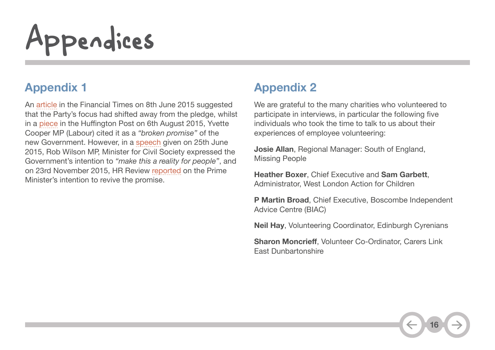# <span id="page-15-0"></span>Appendices

## **Appendix 1**

An [article](http://www.ft.com/cms/s/2c69a4fc-0b9a-11e5-a06e-00144feabdc0,Authorised=false.html?siteedition=uk&_i_location=http%3A%2F%2Fwww.ft.com%2Fcms%2Fs%2F0%2F2c69a4fc-0b9a-11e5-a06e-00144feabdc0.html%3Fsiteedition%3Duk&_i_referer=&classification=conditional_standard&iab=barrier-app#axzz3q34qHgFN) in the Financial Times on 8th June 2015 suggested that the Party's focus had shifted away from the pledge, whilst in a [piece](http://www.huffingtonpost.co.uk/yvette-cooper/election-promises-broken_b_7949232.html) in the Huffington Post on 6th August 2015, Yvette Cooper MP (Labour) cited it as a *"broken promise"* of the new Government. However, in a [speech](https://www.gov.uk/government/speeches/building-civil-society-together-rob-wilson-speech) given on 25th June 2015, Rob Wilson MP, Minister for Civil Society expressed the Government's intention to *"make this a reality for people"*, and on 23rd November 2015, HR Review [reported](http://www.hrreview.co.uk/hr-news/wellbeing-news/cameron-breathes-life-into-big-society-promises-volunteering-leave/60261?utm_source=cc-HRreview_Daily+News+B&utm_medium=Email&utm_content=Untitled2&utm_campaign=HRreview+Daily+News+-+B+list+-+TUE+-+V4&affiliates=28&hrraffiliate=2&_ccCt=RxI0oh1~BYRb~HkNNP30_abQmFwoGlutfYHCGGifsVSwCNnSnaE4UivEpac7Mb3d ) on the Prime Minister's intention to revive the promise.

## **Appendix 2**

We are grateful to the many charities who volunteered to participate in interviews, in particular the following five individuals who took the time to talk to us about their experiences of employee volunteering:

**Josie Allan**, Regional Manager: South of England, Missing People

**Heather Boxer**, Chief Executive and **Sam Garbett**, Administrator, West London Action for Children

**P Martin Broad**, Chief Executive, Boscombe Independent Advice Centre (BIAC)

**Neil Hay**, Volunteering Coordinator, Edinburgh Cyrenians

**Sharon Moncrieff**, Volunteer Co-Ordinator, Carers Link East Dunbartonshire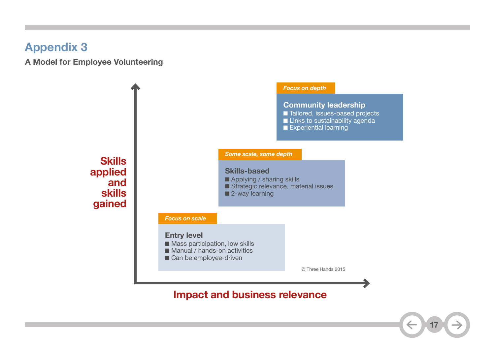## <span id="page-16-0"></span>**Appendix 3**

**A Model for Employee Volunteering**



### **Impact and business relevance**